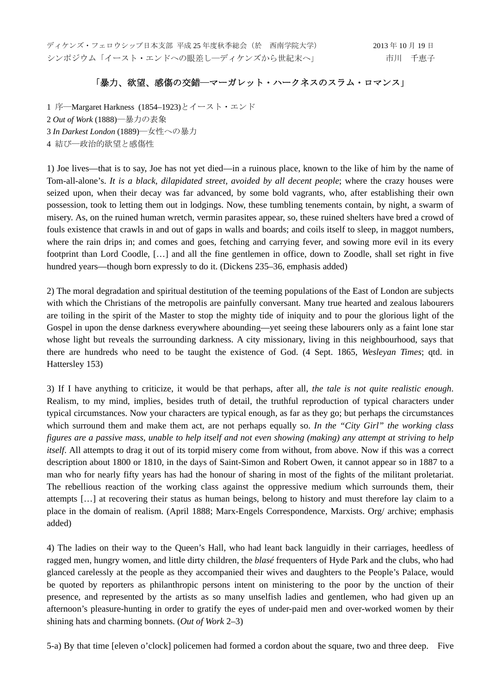## 「暴力、欲望、感傷の交錯―マーガレット・ハークネスのスラム・ロマンス」

1 序–Margaret Harkness (1854–1923)とイースト・エンド *Out of Work* (1888)―暴力の表象 *In Darkest London* (1889)―女性への暴力 結び―政治的欲望と感傷性

1) Joe lives—that is to say, Joe has not yet died—in a ruinous place, known to the like of him by the name of Tom-all-alone's. *It is a black, dilapidated street, avoided by all decent people*; where the crazy houses were seized upon, when their decay was far advanced, by some bold vagrants, who, after establishing their own possession, took to letting them out in lodgings. Now, these tumbling tenements contain, by night, a swarm of misery. As, on the ruined human wretch, vermin parasites appear, so, these ruined shelters have bred a crowd of fouls existence that crawls in and out of gaps in walls and boards; and coils itself to sleep, in maggot numbers, where the rain drips in; and comes and goes, fetching and carrying fever, and sowing more evil in its every footprint than Lord Coodle, […] and all the fine gentlemen in office, down to Zoodle, shall set right in five hundred years—though born expressly to do it. (Dickens 235–36, emphasis added)

2) The moral degradation and spiritual destitution of the teeming populations of the East of London are subjects with which the Christians of the metropolis are painfully conversant. Many true hearted and zealous labourers are toiling in the spirit of the Master to stop the mighty tide of iniquity and to pour the glorious light of the Gospel in upon the dense darkness everywhere abounding—yet seeing these labourers only as a faint lone star whose light but reveals the surrounding darkness. A city missionary, living in this neighbourhood, says that there are hundreds who need to be taught the existence of God. (4 Sept. 1865, *Wesleyan Times*; qtd. in Hattersley 153)

3) If I have anything to criticize, it would be that perhaps, after all, *the tale is not quite realistic enough*. Realism, to my mind, implies, besides truth of detail, the truthful reproduction of typical characters under typical circumstances. Now your characters are typical enough, as far as they go; but perhaps the circumstances which surround them and make them act, are not perhaps equally so. *In the "City Girl" the working class figures are a passive mass, unable to help itself and not even showing (making) any attempt at striving to help itself*. All attempts to drag it out of its torpid misery come from without, from above. Now if this was a correct description about 1800 or 1810, in the days of Saint-Simon and Robert Owen, it cannot appear so in 1887 to a man who for nearly fifty years has had the honour of sharing in most of the fights of the militant proletariat. The rebellious reaction of the working class against the oppressive medium which surrounds them, their attempts […] at recovering their status as human beings, belong to history and must therefore lay claim to a place in the domain of realism. (April 1888; Marx-Engels Correspondence, Marxists. Org/ archive; emphasis added)

4) The ladies on their way to the Queen's Hall, who had leant back languidly in their carriages, heedless of ragged men, hungry women, and little dirty children, the *blasé* frequenters of Hyde Park and the clubs, who had glanced carelessly at the people as they accompanied their wives and daughters to the People's Palace, would be quoted by reporters as philanthropic persons intent on ministering to the poor by the unction of their presence, and represented by the artists as so many unselfish ladies and gentlemen, who had given up an afternoon's pleasure-hunting in order to gratify the eyes of under-paid men and over-worked women by their shining hats and charming bonnets. (*Out of Work* 2–3)

5-a) By that time [eleven o'clock] policemen had formed a cordon about the square, two and three deep. Five